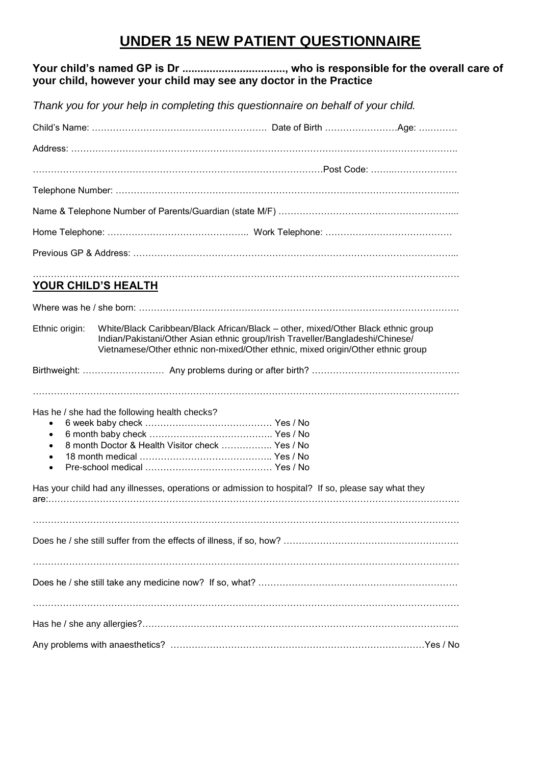## **UNDER 15 NEW PATIENT QUESTIONNAIRE**

#### **Your child's named GP is Dr .................................., who is responsible for the overall care of your child, however your child may see any doctor in the Practice**

*Thank you for your help in completing this questionnaire on behalf of your child.*

|                                                  | YOUR CHILD'S HEALTH                           |                                                 |                                                                                                                                                                                                                                                        |  |
|--------------------------------------------------|-----------------------------------------------|-------------------------------------------------|--------------------------------------------------------------------------------------------------------------------------------------------------------------------------------------------------------------------------------------------------------|--|
|                                                  |                                               |                                                 |                                                                                                                                                                                                                                                        |  |
| Ethnic origin:                                   |                                               |                                                 | White/Black Caribbean/Black African/Black - other, mixed/Other Black ethnic group<br>Indian/Pakistani/Other Asian ethnic group/Irish Traveller/Bangladeshi/Chinese/<br>Vietnamese/Other ethnic non-mixed/Other ethnic, mixed origin/Other ethnic group |  |
|                                                  |                                               |                                                 |                                                                                                                                                                                                                                                        |  |
|                                                  |                                               |                                                 |                                                                                                                                                                                                                                                        |  |
| $\bullet$<br>$\bullet$<br>$\bullet$<br>$\bullet$ | Has he / she had the following health checks? | 8 month Doctor & Health Visitor check  Yes / No |                                                                                                                                                                                                                                                        |  |
|                                                  |                                               |                                                 | Has your child had any illnesses, operations or admission to hospital? If so, please say what they                                                                                                                                                     |  |
|                                                  |                                               |                                                 |                                                                                                                                                                                                                                                        |  |
|                                                  |                                               |                                                 |                                                                                                                                                                                                                                                        |  |
|                                                  |                                               |                                                 |                                                                                                                                                                                                                                                        |  |
|                                                  |                                               |                                                 |                                                                                                                                                                                                                                                        |  |
|                                                  |                                               |                                                 |                                                                                                                                                                                                                                                        |  |
|                                                  |                                               |                                                 |                                                                                                                                                                                                                                                        |  |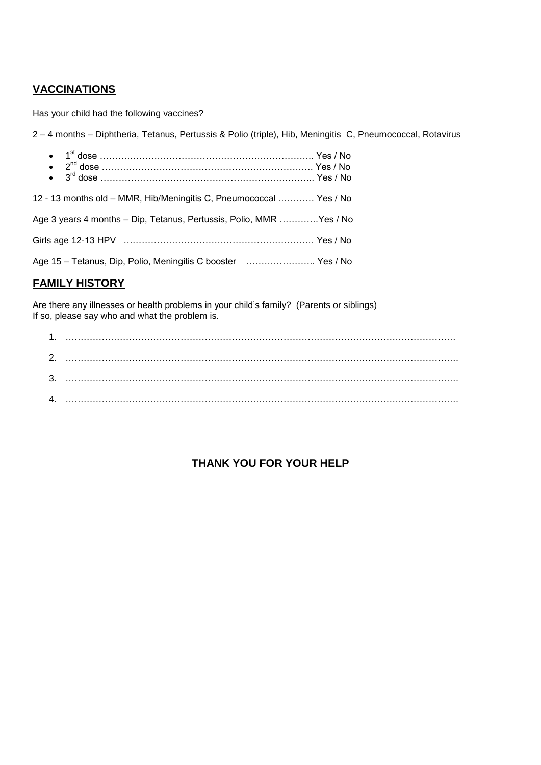## **VACCINATIONS**

Has your child had the following vaccines?

2 – 4 months – Diphtheria, Tetanus, Pertussis & Polio (triple), Hib, Meningitis C, Pneumococcal, Rotavirus

| 12 - 13 months old - MMR, Hib/Meningitis C, Pneumococcal  Yes / No  |  |
|---------------------------------------------------------------------|--|
| Age 3 years 4 months - Dip, Tetanus, Pertussis, Polio, MMR Yes / No |  |
|                                                                     |  |
| Age 15 - Tetanus, Dip, Polio, Meningitis C booster  Yes / No        |  |

#### **FAMILY HISTORY**

Are there any illnesses or health problems in your child's family? (Parents or siblings) If so, please say who and what the problem is.

| 2.           |  |
|--------------|--|
| 3.           |  |
| $\mathbf{A}$ |  |

### **THANK YOU FOR YOUR HELP**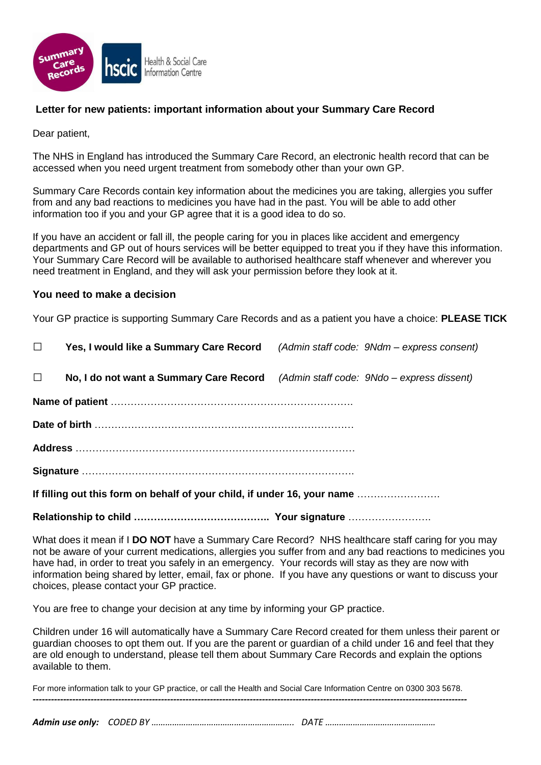

#### **Letter for new patients: important information about your Summary Care Record**

Dear patient,

The NHS in England has introduced the Summary Care Record, an electronic health record that can be accessed when you need urgent treatment from somebody other than your own GP.

Summary Care Records contain key information about the medicines you are taking, allergies you suffer from and any bad reactions to medicines you have had in the past. You will be able to add other information too if you and your GP agree that it is a good idea to do so.

If you have an accident or fall ill, the people caring for you in places like accident and emergency departments and GP out of hours services will be better equipped to treat you if they have this information. Your Summary Care Record will be available to authorised healthcare staff whenever and wherever you need treatment in England, and they will ask your permission before they look at it.

#### **You need to make a decision**

Your GP practice is supporting Summary Care Records and as a patient you have a choice: **PLEASE TICK**

| $\Box$ | Yes, I would like a Summary Care Record                                            | (Admin staff code: 9Ndm – express consent) |
|--------|------------------------------------------------------------------------------------|--------------------------------------------|
| $\Box$ | No, I do not want a Summary Care Record (Admin staff code: 9Ndo – express dissent) |                                            |
|        |                                                                                    |                                            |
|        |                                                                                    |                                            |
|        |                                                                                    |                                            |
|        |                                                                                    |                                            |
|        | If filling out this form on behalf of your child, if under 16, your name           |                                            |
|        |                                                                                    |                                            |

What does it mean if I **DO NOT** have a Summary Care Record? NHS healthcare staff caring for you may not be aware of your current medications, allergies you suffer from and any bad reactions to medicines you have had, in order to treat you safely in an emergency. Your records will stay as they are now with information being shared by letter, email, fax or phone. If you have any questions or want to discuss your choices, please contact your GP practice.

You are free to change your decision at any time by informing your GP practice.

Children under 16 will automatically have a Summary Care Record created for them unless their parent or guardian chooses to opt them out. If you are the parent or guardian of a child under 16 and feel that they are old enough to understand, please tell them about Summary Care Records and explain the options available to them.

For more information talk to your GP practice, or call the Health and Social Care Information Centre on 0300 303 5678. *----------------------------------------------------------------------------------------------------------------------------------------------*

*Admin use only: CODED BY …………………………………………………….. DATE …………………………………………*